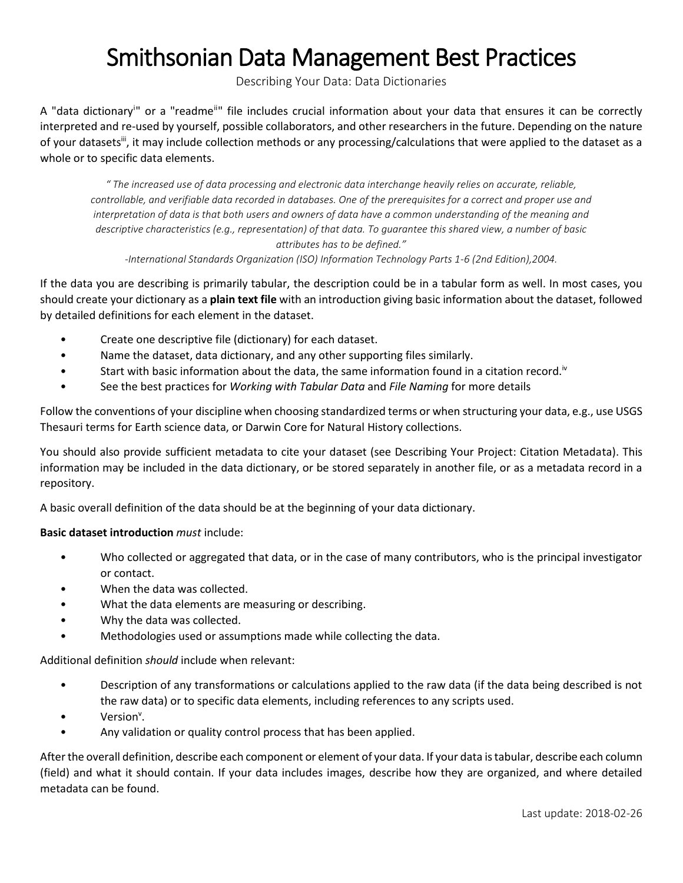## Smithsonian Data Management Best Practices

Describing Your Data: Data Dictionaries

A "data dictionary<sup>i</sup>" or a "readme<sup>ii</sup>" file includes crucial information about your data that ensures it can be correctly interpreted and re-used by yourself, possible collaborators, and other researchers in the future. Depending on the nature of your datasets<sup>iii</sup>, it may include collection methods or any processing/calculations that were applied to the dataset as a whole or to specific data elements.

*" The increased use of data processing and electronic data interchange heavily relies on accurate, reliable, controllable, and verifiable data recorded in databases. One of the prerequisites for a correct and proper use and interpretation of data is that both users and owners of data have a common understanding of the meaning and descriptive characteristics (e.g., representation) of that data. To guarantee this shared view, a number of basic attributes has to be defined."*

*-International Standards Organization (ISO) Information Technology Parts 1-6 (2nd Edition),2004.*

If the data you are describing is primarily tabular, the description could be in a tabular form as well. In most cases, you should create your dictionary as a **plain text file** with an introduction giving basic information about the dataset, followed by detailed definitions for each element in the dataset.

- Create one descriptive file (dictionary) for each dataset.
- Name the dataset, data dictionary, and any other supporting files similarly.
- Start with basic information about the data, the same information found in a citation record.<sup>iv</sup>
- See the best practices for *Working with Tabular Data* and *File Naming* for more details

Follow the conventions of your discipline when choosing standardized terms or when structuring your data, e.g., use USGS Thesauri terms for Earth science data, or Darwin Core for Natural History collections.

You should also provide sufficient metadata to cite your dataset (see Describing Your Project: Citation Metadata). This information may be included in the data dictionary, or be stored separately in another file, or as a metadata record in a repository.

A basic overall definition of the data should be at the beginning of your data dictionary.

## **Basic dataset introduction** *must* include:

- Who collected or aggregated that data, or in the case of many contributors, who is the principal investigator or contact.
- When the data was collected.
- What the data elements are measuring or describing.
- Why the data was collected.
- Methodologies used or assumptions made while collecting the data.

Additional definition *should* include when relevant:

- Description of any transformations or calculations applied to the raw data (if the data being described is not the raw data) or to specific data elements, including references to any scripts used.
- Version<sup>v</sup>.
- Any validation or quality control process that has been applied.

After the overall definition, describe each component or element of your data. If your data is tabular, describe each column (field) and what it should contain. If your data includes images, describe how they are organized, and where detailed metadata can be found.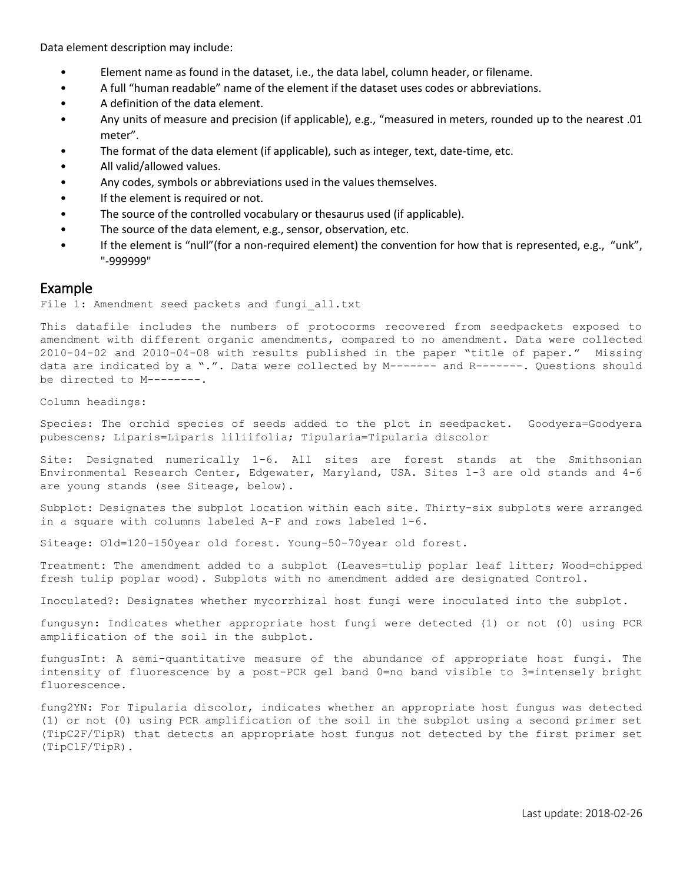Data element description may include:

- Element name as found in the dataset, i.e., the data label, column header, or filename.
- A full "human readable" name of the element if the dataset uses codes or abbreviations.
- A definition of the data element.
- Any units of measure and precision (if applicable), e.g., "measured in meters, rounded up to the nearest .01 meter".
- The format of the data element (if applicable), such as integer, text, date-time, etc.
- All valid/allowed values.
- Any codes, symbols or abbreviations used in the values themselves.
- If the element is required or not.
- The source of the controlled vocabulary or thesaurus used (if applicable).
- The source of the data element, e.g., sensor, observation, etc.
- If the element is "null"(for a non-required element) the convention for how that is represented, e.g., "unk", "-999999"

## Example

File 1: Amendment seed packets and fungi all.txt

This datafile includes the numbers of protocorms recovered from seedpackets exposed to amendment with different organic amendments, compared to no amendment. Data were collected 2010-04-02 and 2010-04-08 with results published in the paper "title of paper." Missing data are indicated by a ".". Data were collected by M------- and R-------. Questions should be directed to M--------.

Column headings:

Species: The orchid species of seeds added to the plot in seedpacket. Goodyera=Goodyera pubescens; Liparis=Liparis liliifolia; Tipularia=Tipularia discolor

Site: Designated numerically 1-6. All sites are forest stands at the Smithsonian Environmental Research Center, Edgewater, Maryland, USA. Sites 1-3 are old stands and 4-6 are young stands (see Siteage, below).

Subplot: Designates the subplot location within each site. Thirty-six subplots were arranged in a square with columns labeled A-F and rows labeled 1-6.

Siteage: Old=120-150year old forest. Young-50-70year old forest.

Treatment: The amendment added to a subplot (Leaves=tulip poplar leaf litter; Wood=chipped fresh tulip poplar wood). Subplots with no amendment added are designated Control.

Inoculated?: Designates whether mycorrhizal host fungi were inoculated into the subplot.

fungusyn: Indicates whether appropriate host fungi were detected (1) or not (0) using PCR amplification of the soil in the subplot.

fungusInt: A semi-quantitative measure of the abundance of appropriate host fungi. The intensity of fluorescence by a post-PCR gel band 0=no band visible to 3=intensely bright fluorescence.

fung2YN: For Tipularia discolor, indicates whether an appropriate host fungus was detected (1) or not (0) using PCR amplification of the soil in the subplot using a second primer set (TipC2F/TipR) that detects an appropriate host fungus not detected by the first primer set (TipC1F/TipR).